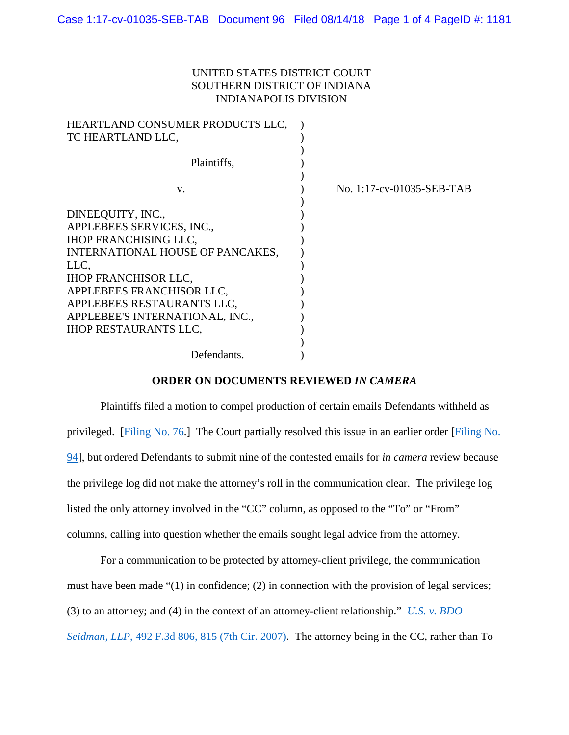## UNITED STATES DISTRICT COURT SOUTHERN DISTRICT OF INDIANA INDIANAPOLIS DIVISION

| HEARTLAND CONSUMER PRODUCTS LLC, |                           |
|----------------------------------|---------------------------|
| TC HEARTLAND LLC,                |                           |
|                                  |                           |
| Plaintiffs.                      |                           |
|                                  |                           |
| V.                               | No. 1:17-cv-01035-SEB-TAB |
|                                  |                           |
| DINEEQUITY, INC.,                |                           |
| APPLEBEES SERVICES, INC.,        |                           |
| <b>IHOP FRANCHISING LLC,</b>     |                           |
| INTERNATIONAL HOUSE OF PANCAKES, |                           |
| LLC.                             |                           |
| <b>IHOP FRANCHISOR LLC,</b>      |                           |
| APPLEBEES FRANCHISOR LLC,        |                           |
| APPLEBEES RESTAURANTS LLC,       |                           |
| APPLEBEE'S INTERNATIONAL, INC.,  |                           |
| <b>IHOP RESTAURANTS LLC,</b>     |                           |
|                                  |                           |
| Defendants.                      |                           |

## **ORDER ON DOCUMENTS REVIEWED** *IN CAMERA*

Plaintiffs filed a motion to compel production of certain emails Defendants withheld as privileged. [\[Filing No. 76.](https://ecf.insd.circ7.dcn/doc1/07316518586)] The Court partially resolved this issue in an earlier order [\[Filing No.](https://ecf.insd.circ7.dcn/doc1/07316704221)  [94\]](https://ecf.insd.circ7.dcn/doc1/07316704221), but ordered Defendants to submit nine of the contested emails for *in camera* review because the privilege log did not make the attorney's roll in the communication clear. The privilege log listed the only attorney involved in the "CC" column, as opposed to the "To" or "From" columns, calling into question whether the emails sought legal advice from the attorney.

For a communication to be protected by attorney-client privilege, the communication must have been made "(1) in confidence; (2) in connection with the provision of legal services; (3) to an attorney; and (4) in the context of an attorney-client relationship." *[U.S. v. BDO](https://www.westlaw.com/Document/I99825ecb288d11dc9b239dfedc9bb45f/View/FullText.html?transitionType=Default&contextData=(sc.Default)&VR=3.0&RS=da3.0&fragmentIdentifier=co_pp_sp_506_815)  Seidman, LLP*[, 492 F.3d 806, 815 \(7th Cir. 2007\).](https://www.westlaw.com/Document/I99825ecb288d11dc9b239dfedc9bb45f/View/FullText.html?transitionType=Default&contextData=(sc.Default)&VR=3.0&RS=da3.0&fragmentIdentifier=co_pp_sp_506_815) The attorney being in the CC, rather than To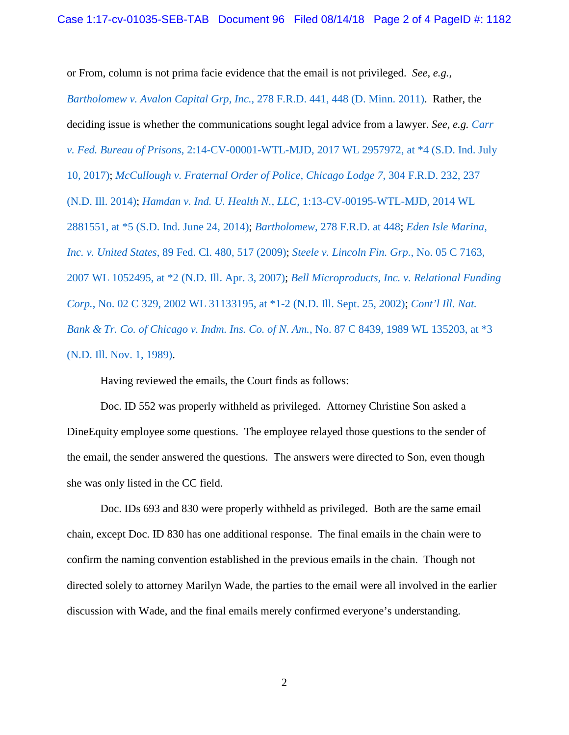or From, column is not prima facie evidence that the email is not privileged. *See*, *e.g.*,

*[Bartholomew v. Avalon Capital Grp, Inc.](https://www.westlaw.com/Document/I9a84c9b9270c11e1bd928e1973ff4e60/View/FullText.html?transitionType=Default&contextData=(sc.Default)&VR=3.0&RS=da3.0&fragmentIdentifier=co_pp_sp_344_448)*, 278 F.R.D. 441, 448 (D. Minn. 2011). Rather, the deciding issue is whether the communications sought legal advice from a lawyer. *See*, *e.g. [Carr](https://www.westlaw.com/Document/Idd44cde066e411e7a3f3a229dca6c9c6/View/FullText.html?transitionType=Default&contextData=(sc.Default)&VR=3.0&RS=da3.0&fragmentIdentifier=co_pp_sp_999_4)  v. Fed. Bureau of Prisons*[, 2:14-CV-00001-WTL-MJD, 2017 WL 2957972, at \\*4 \(S.D. Ind. July](https://www.westlaw.com/Document/Idd44cde066e411e7a3f3a229dca6c9c6/View/FullText.html?transitionType=Default&contextData=(sc.Default)&VR=3.0&RS=da3.0&fragmentIdentifier=co_pp_sp_999_4)  [10, 2017\);](https://www.westlaw.com/Document/Idd44cde066e411e7a3f3a229dca6c9c6/View/FullText.html?transitionType=Default&contextData=(sc.Default)&VR=3.0&RS=da3.0&fragmentIdentifier=co_pp_sp_999_4) *McCullough [v. Fraternal Order of Police, Chicago Lodge 7](https://www.westlaw.com/Document/Ib7e2a8e0ec5f11e3877699ddcf0266cf/View/FullText.html?transitionType=Default&contextData=(sc.Default)&VR=3.0&RS=da3.0&fragmentIdentifier=co_pp_sp_344_237)*, 304 F.R.D. 232, 237 [\(N.D. Ill. 2014\);](https://www.westlaw.com/Document/Ib7e2a8e0ec5f11e3877699ddcf0266cf/View/FullText.html?transitionType=Default&contextData=(sc.Default)&VR=3.0&RS=da3.0&fragmentIdentifier=co_pp_sp_344_237) *Hamdan v. Ind. U. Health N., LLC*[, 1:13-CV-00195-WTL-MJD, 2014 WL](https://www.westlaw.com/Document/Ibbeafd5cfd1f11e390d4edf60ce7d742/View/FullText.html?transitionType=Default&contextData=(sc.Default)&VR=3.0&RS=da3.0&fragmentIdentifier=co_pp_sp_999_5)  [2881551, at \\*5 \(S.D. Ind. June 24, 2014\);](https://www.westlaw.com/Document/Ibbeafd5cfd1f11e390d4edf60ce7d742/View/FullText.html?transitionType=Default&contextData=(sc.Default)&VR=3.0&RS=da3.0&fragmentIdentifier=co_pp_sp_999_5) *Bartholomew*[, 278 F.R.D. at 448;](https://www.westlaw.com/Document/I9a84c9b9270c11e1bd928e1973ff4e60/View/FullText.html?transitionType=Default&contextData=(sc.Default)&VR=3.0&RS=da3.0&fragmentIdentifier=co_pp_sp_344_448) *[Eden Isle Marina,](https://www.westlaw.com/Document/I33a1b49298bd11dea82ab9f4ee295c21/View/FullText.html?transitionType=Default&contextData=(sc.Default)&VR=3.0&RS=da3.0&fragmentIdentifier=co_pp_sp_613_517)  Inc. v. United States*[, 89 Fed. Cl. 480, 517 \(2009\);](https://www.westlaw.com/Document/I33a1b49298bd11dea82ab9f4ee295c21/View/FullText.html?transitionType=Default&contextData=(sc.Default)&VR=3.0&RS=da3.0&fragmentIdentifier=co_pp_sp_613_517) *[Steele v. Lincoln Fin. Grp.](https://www.westlaw.com/Document/Iee08ffb0e76211dbb92c924f6a2d2928/View/FullText.html?transitionType=Default&contextData=(sc.Default)&VR=3.0&RS=da3.0&fragmentIdentifier=co_pp_sp_999_2)*, No. 05 C 7163, [2007 WL 1052495, at \\*2 \(N.D. Ill. Apr. 3, 2007\);](https://www.westlaw.com/Document/Iee08ffb0e76211dbb92c924f6a2d2928/View/FullText.html?transitionType=Default&contextData=(sc.Default)&VR=3.0&RS=da3.0&fragmentIdentifier=co_pp_sp_999_2) *[Bell Microproducts, Inc. v. Relational Funding](https://www.westlaw.com/Document/I8580eabb53fd11d9a99c85a9e6023ffa/View/FullText.html?transitionType=Default&contextData=(sc.Default)&VR=3.0&RS=da3.0&fragmentIdentifier=co_pp_sp_999_1)  Corp.*[, No. 02 C 329, 2002 WL 31133195, at \\*1-2 \(N.D. Ill. Sept. 25, 2002\);](https://www.westlaw.com/Document/I8580eabb53fd11d9a99c85a9e6023ffa/View/FullText.html?transitionType=Default&contextData=(sc.Default)&VR=3.0&RS=da3.0&fragmentIdentifier=co_pp_sp_999_1) *[Cont'l Ill. Nat.](https://www.westlaw.com/Document/I11d23c2155c111d9bf30d7fdf51b6bd4/View/FullText.html?transitionType=Default&contextData=(sc.Default)&VR=3.0&RS=da3.0&fragmentIdentifier=co_pp_sp_999_3)  Bank & Tr. Co. of Chicago v. Indm. Ins. Co. of N. Am.*[, No. 87 C 8439, 1989 WL 135203, at \\*3](https://www.westlaw.com/Document/I11d23c2155c111d9bf30d7fdf51b6bd4/View/FullText.html?transitionType=Default&contextData=(sc.Default)&VR=3.0&RS=da3.0&fragmentIdentifier=co_pp_sp_999_3)  [\(N.D. Ill. Nov. 1, 1989\).](https://www.westlaw.com/Document/I11d23c2155c111d9bf30d7fdf51b6bd4/View/FullText.html?transitionType=Default&contextData=(sc.Default)&VR=3.0&RS=da3.0&fragmentIdentifier=co_pp_sp_999_3)

Having reviewed the emails, the Court finds as follows:

Doc. ID 552 was properly withheld as privileged. Attorney Christine Son asked a DineEquity employee some questions. The employee relayed those questions to the sender of the email, the sender answered the questions. The answers were directed to Son, even though she was only listed in the CC field.

Doc. IDs 693 and 830 were properly withheld as privileged. Both are the same email chain, except Doc. ID 830 has one additional response. The final emails in the chain were to confirm the naming convention established in the previous emails in the chain. Though not directed solely to attorney Marilyn Wade, the parties to the email were all involved in the earlier discussion with Wade, and the final emails merely confirmed everyone's understanding.

2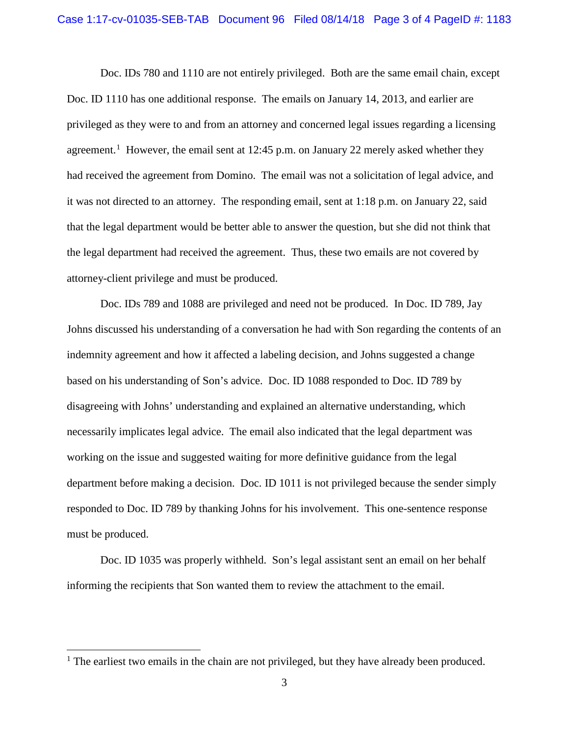## Case 1:17-cv-01035-SEB-TAB Document 96 Filed 08/14/18 Page 3 of 4 PageID #: 1183

Doc. IDs 780 and 1110 are not entirely privileged. Both are the same email chain, except Doc. ID 1110 has one additional response. The emails on January 14, 2013, and earlier are privileged as they were to and from an attorney and concerned legal issues regarding a licensing agreement.<sup>[1](#page-2-0)</sup> However, the email sent at 12:45 p.m. on January 22 merely asked whether they had received the agreement from Domino. The email was not a solicitation of legal advice, and it was not directed to an attorney. The responding email, sent at 1:18 p.m. on January 22, said that the legal department would be better able to answer the question, but she did not think that the legal department had received the agreement. Thus, these two emails are not covered by attorney-client privilege and must be produced.

Doc. IDs 789 and 1088 are privileged and need not be produced. In Doc. ID 789, Jay Johns discussed his understanding of a conversation he had with Son regarding the contents of an indemnity agreement and how it affected a labeling decision, and Johns suggested a change based on his understanding of Son's advice. Doc. ID 1088 responded to Doc. ID 789 by disagreeing with Johns' understanding and explained an alternative understanding, which necessarily implicates legal advice. The email also indicated that the legal department was working on the issue and suggested waiting for more definitive guidance from the legal department before making a decision. Doc. ID 1011 is not privileged because the sender simply responded to Doc. ID 789 by thanking Johns for his involvement. This one-sentence response must be produced.

Doc. ID 1035 was properly withheld. Son's legal assistant sent an email on her behalf informing the recipients that Son wanted them to review the attachment to the email.

<span id="page-2-0"></span><sup>&</sup>lt;sup>1</sup> The earliest two emails in the chain are not privileged, but they have already been produced.